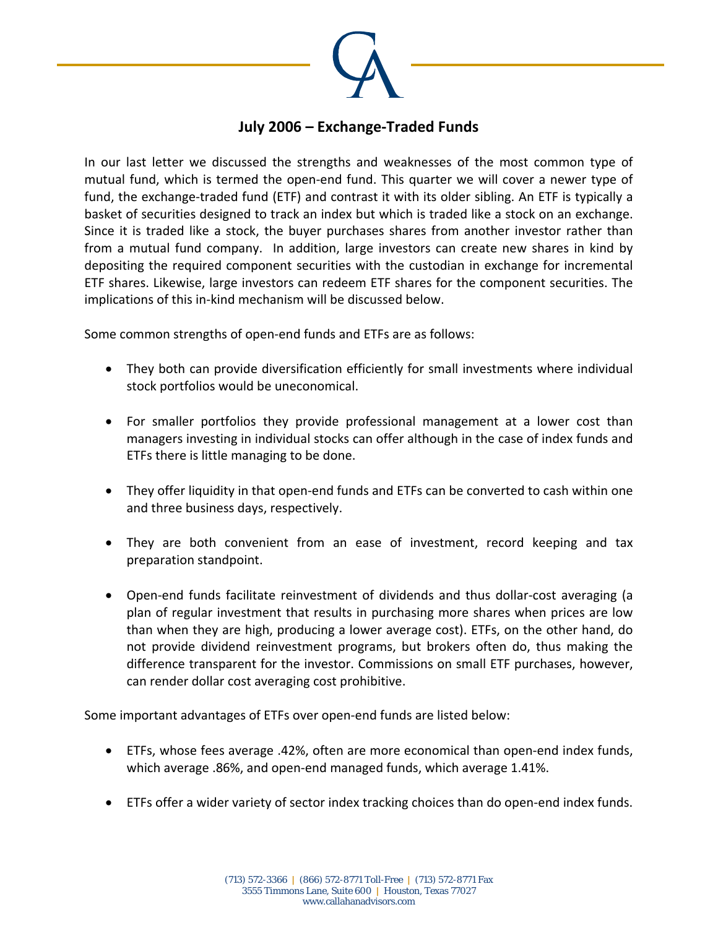

## **July 2006 – Exchange‐Traded Funds**

In our last letter we discussed the strengths and weaknesses of the most common type of mutual fund, which is termed the open-end fund. This quarter we will cover a newer type of fund, the exchange-traded fund (ETF) and contrast it with its older sibling. An ETF is typically a basket of securities designed to track an index but which is traded like a stock on an exchange. Since it is traded like a stock, the buyer purchases shares from another investor rather than from a mutual fund company. In addition, large investors can create new shares in kind by depositing the required component securities with the custodian in exchange for incremental ETF shares. Likewise, large investors can redeem ETF shares for the component securities. The implications of this in‐kind mechanism will be discussed below.

Some common strengths of open-end funds and ETFs are as follows:

- They both can provide diversification efficiently for small investments where individual stock portfolios would be uneconomical.
- For smaller portfolios they provide professional management at a lower cost than managers investing in individual stocks can offer although in the case of index funds and ETFs there is little managing to be done.
- They offer liquidity in that open-end funds and ETFs can be converted to cash within one and three business days, respectively.
- They are both convenient from an ease of investment, record keeping and tax preparation standpoint.
- Open-end funds facilitate reinvestment of dividends and thus dollar-cost averaging (a plan of regular investment that results in purchasing more shares when prices are low than when they are high, producing a lower average cost). ETFs, on the other hand, do not provide dividend reinvestment programs, but brokers often do, thus making the difference transparent for the investor. Commissions on small ETF purchases, however, can render dollar cost averaging cost prohibitive.

Some important advantages of ETFs over open‐end funds are listed below:

- ETFs, whose fees average .42%, often are more economical than open-end index funds, which average .86%, and open‐end managed funds, which average 1.41%.
- ETFs offer a wider variety of sector index tracking choices than do open-end index funds.